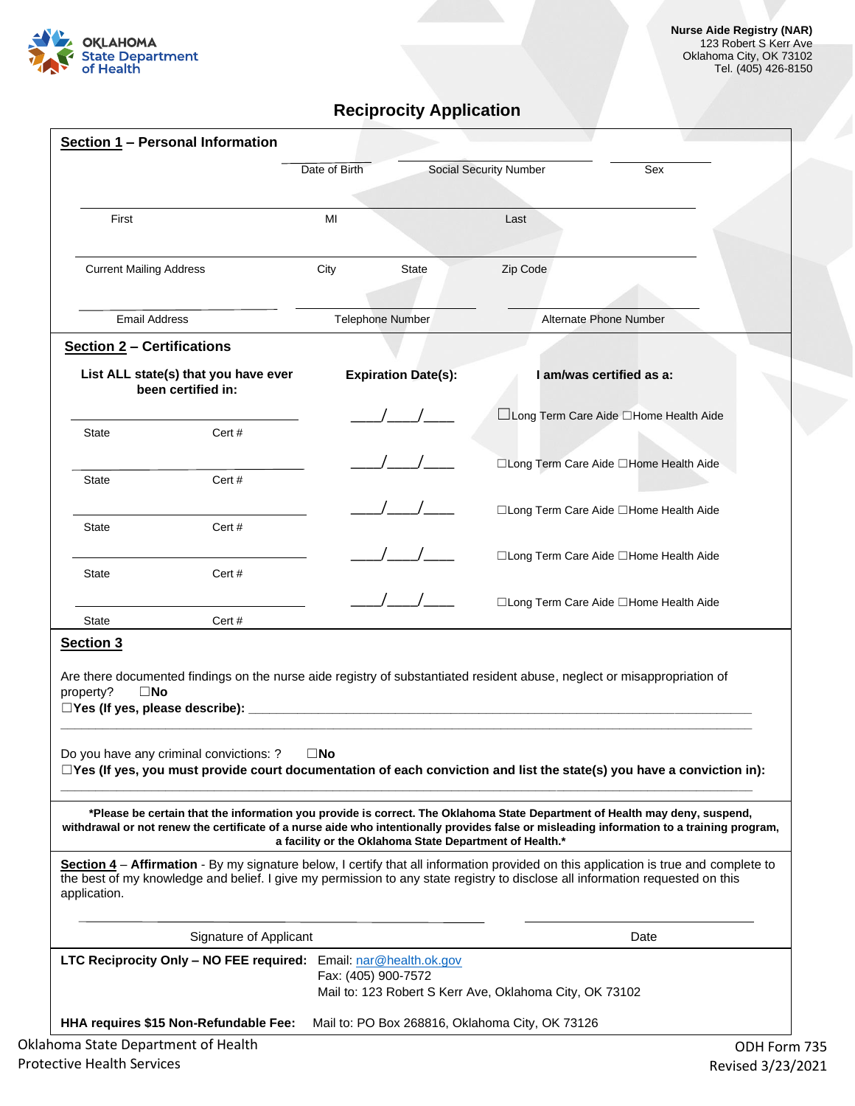

## **Reciprocity Application**

| MI<br>City<br><b>Section 2 - Certifications</b><br>List ALL state(s) that you have ever<br>been certified in:<br>Cert#<br>Cert#<br>Cert #<br>Cert#<br>Cert# | <b>State</b><br><b>Telephone Number</b><br><b>Expiration Date(s):</b> | Last<br>Zip Code<br>Alternate Phone Number<br>I am/was certified as a:<br>□Long Term Care Aide □Home Health Aide<br>□Long Term Care Aide □Home Health Aide<br>□Long Term Care Aide □Home Health Aide<br>□Long Term Care Aide □Home Health Aide<br>□Long Term Care Aide □Home Health Aide |
|-------------------------------------------------------------------------------------------------------------------------------------------------------------|-----------------------------------------------------------------------|------------------------------------------------------------------------------------------------------------------------------------------------------------------------------------------------------------------------------------------------------------------------------------------|
|                                                                                                                                                             |                                                                       |                                                                                                                                                                                                                                                                                          |
|                                                                                                                                                             |                                                                       |                                                                                                                                                                                                                                                                                          |
|                                                                                                                                                             |                                                                       |                                                                                                                                                                                                                                                                                          |
|                                                                                                                                                             |                                                                       |                                                                                                                                                                                                                                                                                          |
|                                                                                                                                                             |                                                                       |                                                                                                                                                                                                                                                                                          |
|                                                                                                                                                             |                                                                       |                                                                                                                                                                                                                                                                                          |
|                                                                                                                                                             |                                                                       |                                                                                                                                                                                                                                                                                          |
|                                                                                                                                                             |                                                                       |                                                                                                                                                                                                                                                                                          |
|                                                                                                                                                             |                                                                       |                                                                                                                                                                                                                                                                                          |
|                                                                                                                                                             |                                                                       |                                                                                                                                                                                                                                                                                          |
|                                                                                                                                                             |                                                                       |                                                                                                                                                                                                                                                                                          |
|                                                                                                                                                             |                                                                       | Are there documented findings on the nurse aide registry of substantiated resident abuse, neglect or misappropriation of                                                                                                                                                                 |
| Do you have any criminal convictions: ?<br>$\square$ No                                                                                                     |                                                                       | $\Box$ Yes (If yes, you must provide court documentation of each conviction and list the state(s) you have a conviction in):                                                                                                                                                             |
|                                                                                                                                                             |                                                                       | *Please be certain that the information you provide is correct. The Oklahoma State Department of Health may deny, suspend,<br>withdrawal or not renew the certificate of a nurse aide who intentionally provides false or misleading information to a training program,                  |
|                                                                                                                                                             |                                                                       | Section 4 - Affirmation - By my signature below, I certify that all information provided on this application is true and complete to<br>the best of my knowledge and belief. I give my permission to any state registry to disclose all information requested on this                    |
| Signature of Applicant                                                                                                                                      |                                                                       | Date                                                                                                                                                                                                                                                                                     |
|                                                                                                                                                             |                                                                       | Mail to: 123 Robert S Kerr Ave, Oklahoma City, OK 73102                                                                                                                                                                                                                                  |
|                                                                                                                                                             |                                                                       | a facility or the Oklahoma State Department of Health.*<br>LTC Reciprocity Only - NO FEE required: Email: nar@health.ok.gov<br>Fax: (405) 900-7572                                                                                                                                       |

Protective Health Services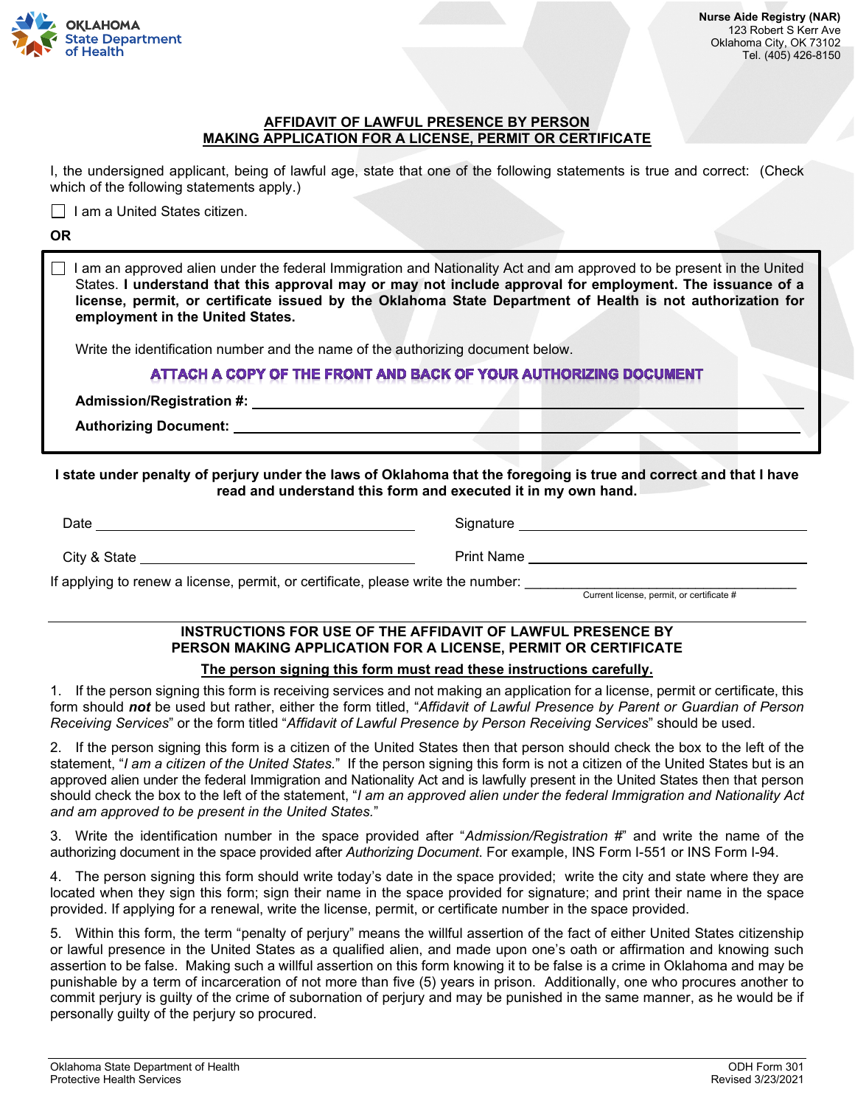

#### **AFFIDAVIT OF LAWFUL PRESENCE BY PERSON MAKING APPLICATION FOR A LICENSE, PERMIT OR CERTIFICATE**

I, the undersigned applicant, being of lawful age, state that one of the following statements is true and correct: (Check which of the following statements apply.)

 $\Box$  I am a United States citizen.

#### **OR**

 $\Box$  I am an approved alien under the federal Immigration and Nationality Act and am approved to be present in the United States. **I understand that this approval may or may not include approval for employment. The issuance of a license, permit, or certificate issued by the Oklahoma State Department of Health is not authorization for employment in the United States.**

Write the identification number and the name of the authorizing document below.

## ATTACH A COPY OF THE FRONT AND BACK OF YOUR AUTHORIZING DOCUMENT

**Admission/Registration #:** 

**Authorizing Document:** 

**I state under penalty of perjury under the laws of Oklahoma that the foregoing is true and correct and that I have read and understand this form and executed it in my own hand.**

| Date                                                                             | Signature  |
|----------------------------------------------------------------------------------|------------|
| City & State                                                                     | Print Name |
| f annluing to repour a ligence, permit, er sertificate, please write the pumber. |            |

If applying to renew a license, permit, or certificate, please write the number:

## Current license, permit, or certificate #

## **INSTRUCTIONS FOR USE OF THE AFFIDAVIT OF LAWFUL PRESENCE BY PERSON MAKING APPLICATION FOR A LICENSE, PERMIT OR CERTIFICATE**

## **The person signing this form must read these instructions carefully.**

1. If the person signing this form is receiving services and not making an application for a license, permit or certificate, this form should *not* be used but rather, either the form titled, "*Affidavit of Lawful Presence by Parent or Guardian of Person Receiving Services*" or the form titled "*Affidavit of Lawful Presence by Person Receiving Services*" should be used.

2. If the person signing this form is a citizen of the United States then that person should check the box to the left of the statement, "*I am a citizen of the United States.*" If the person signing this form is not a citizen of the United States but is an approved alien under the federal Immigration and Nationality Act and is lawfully present in the United States then that person should check the box to the left of the statement, "*I am an approved alien under the federal Immigration and Nationality Act and am approved to be present in the United States.*"

3. Write the identification number in the space provided after "*Admission/Registration #*" and write the name of the authorizing document in the space provided after *Authorizing Document*. For example, INS Form I-551 or INS Form I-94.

4. The person signing this form should write today's date in the space provided; write the city and state where they are located when they sign this form; sign their name in the space provided for signature; and print their name in the space provided. If applying for a renewal, write the license, permit, or certificate number in the space provided.

5. Within this form, the term "penalty of perjury" means the willful assertion of the fact of either United States citizenship or lawful presence in the United States as a qualified alien, and made upon one's oath or affirmation and knowing such assertion to be false. Making such a willful assertion on this form knowing it to be false is a crime in Oklahoma and may be punishable by a term of incarceration of not more than five (5) years in prison. Additionally, one who procures another to commit perjury is guilty of the crime of subornation of perjury and may be punished in the same manner, as he would be if personally guilty of the perjury so procured.